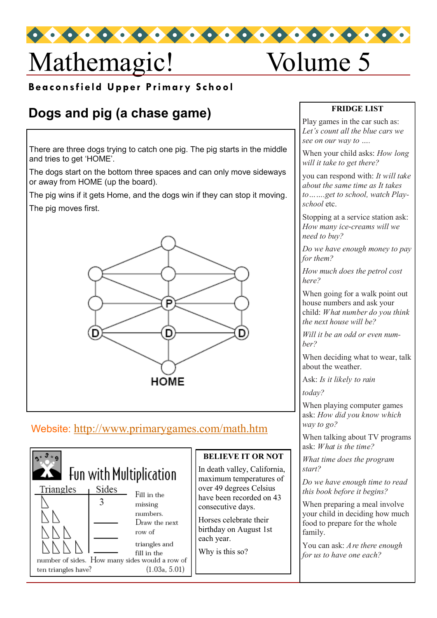# Mathemagic! Volume 5

**Beaconsfield Upper Primary School** 

## **Dogs and pig (a chase game)**

There are three dogs trying to catch one pig. The pig starts in the middle and tries to get 'HOME'.

The dogs start on the bottom three spaces and can only move sideways or away from HOME (up the board).

The pig wins if it gets Home, and the dogs win if they can stop it moving. The pig moves first.



### Website: <http://www.primarygames.com/math.htm>



#### **BELIEVE IT OR NOT**

In death valley, California, maximum temperatures of over 49 degrees Celsius have been recorded on 43 consecutive days.

Horses celebrate their birthday on August 1st each year.

Why is this so?

#### **FRIDGE LIST**

Play games in the car such as: *Let's count all the blue cars we see on our way to ….*

When your child asks: *How long will it take to get there?*

you can respond with: *It will take about the same time as It takes to…….get to school, watch Playschool* etc.

Stopping at a service station ask: *How many ice-creams will we need to buy?* 

*Do we have enough money to pay for them?* 

*How much does the petrol cost*   $here?$ 

When going for a walk point out house numbers and ask your child: *What number do you think the next house will be?* 

*Will it be an odd or even number?*

When deciding what to wear, talk about the weather.

Ask: *Is it likely to rain* 

 $today?$ 

When playing computer games ask: *How did you know which way to go?*

When talking about TV programs ask: *What is the time?*

*What time does the program start?* 

*Do we have enough time to read this book before it begins?*

When preparing a meal involve your child in deciding how much food to prepare for the whole family.

You can ask: *Are there enough for us to have one each?*